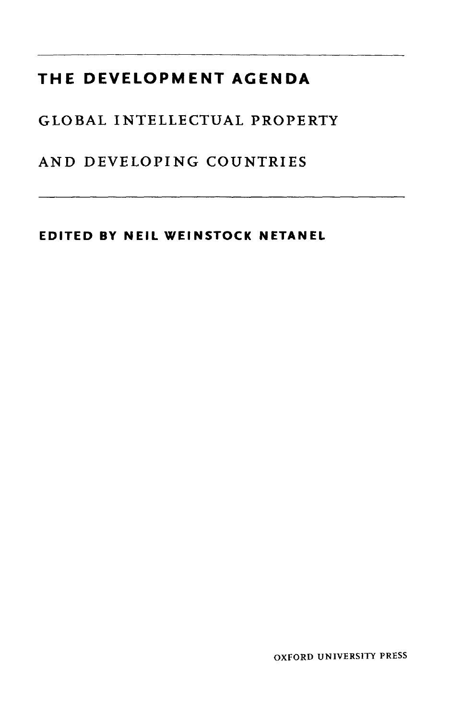## **THE DEVELOPMENT AGENDA**

GLOBAL INTELLECTUAL PROPERTY

AND DEVELOPING COUNTRIES

**EDITED BY NEIL WEINSTOCK NETANEL**

OXFORD UNIVERSITY PRESS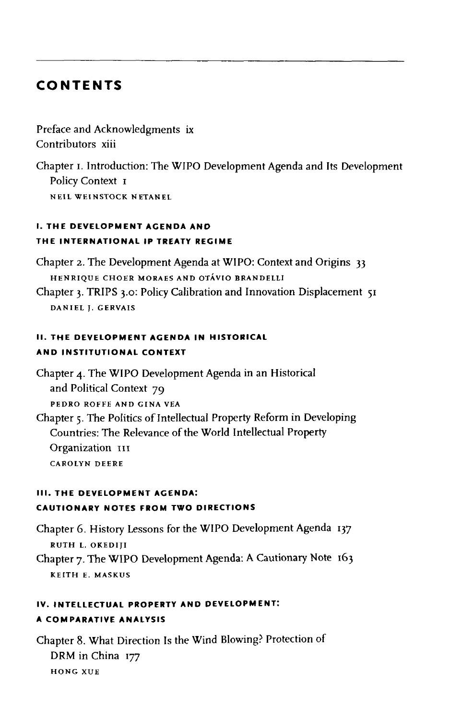## **CONTENTS**

Preface and Acknowledgments ix Contributors xiii

Chapter i. Introduction: The WIPO Development Agenda and Its Development Policy Context 1 **NEIL WEINSTOCK NETANEL**

## **I. THE DEVELOPMENT ACENDA AND THE INTERNATIONAL IP TREATY REGIME**

Chapter 2. The Development Agenda at WIPO: Context and Origins 33 **HENRIQUE CHOER MORAES AND OTAVIO BRANDELLI**

Chapter 3. TRIPS 3.0: Policy Calibration and Innovation Displacement 51 **DANIEL J. GERVAIS**

## **II. THE DEVELOPMENT ACENDA IN HISTORICAL AND INSTITUTIONAL CONTEXT**

Chapter 4. The WIPO Development Agenda in an Historical and Political Context 79 **PEDRO ROFFE AND GINA VEA** Chapter 5. The Politics of Intellectual Property Reform in Developing Countries: The Relevance of the World Intellectual Property Organization III

**CAROLYN DEERE**

## **III. THE DEVELOPMENT AGENDA: CAUTIONARY NOTES FROM TWO DIRECTIONS**

Chapter 6. History Lessons for the WIPO Development Agenda 137 **RUTH L. OKEDIJI**

Chapter 7. The WIPO Development Agenda: A Cautionary Note 163 **KEITH E. MASKUS**

## **IV. INTELLECTUAL PROPERTY AND DEVELOPMENT: A COMPARATIVE ANALYSIS**

Chapter 8. What Direction Is the Wind Blowing? Protection of DRM in China 177 **HONG XUE**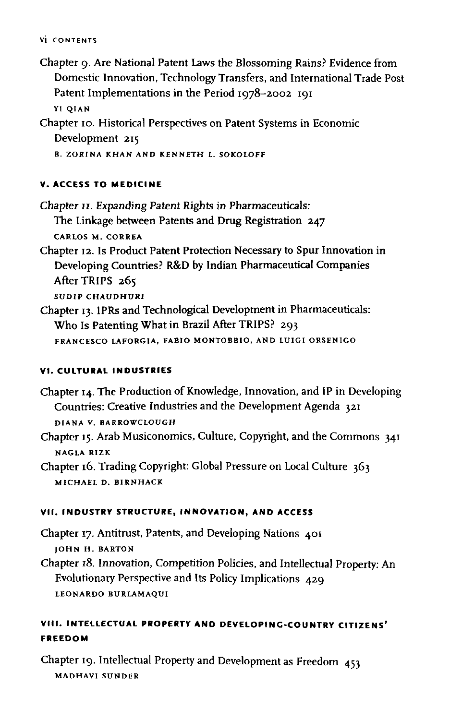#### **VI CONTENTS**

Chapter 9. Are National Patent Laws the Blossoming Rains? Evidence from Domestic Innovation, Technology Transfers, and International Trade Post Patent Implementations in the Period 1978-2002 191 **YI QIAN**

Chapter 10. Historical Perspectives on Patent Systems in Economic Development 215 **B. ZORINA KHAN AND KENNETH L. SOKOLOFF**

# **V. ACCESS TO MEDICINE**

Chapter 11. Expanding Patent Rights in Pharmaceuticals: The Linkage between Patents and Drug Registration 247 **CARLOS M. CORREA**

- Chapter 12. Is Product Patent Protection Necessary to Spur Innovation in Developing Countries? R&D by Indian Pharmaceutical Companies After TRIPS 265 **SUDIP CHAUDHURI**
- Chapter 13. IPRs and Technological Development in Pharmaceuticals: Who Is Patenting What in Brazil After TRIPS? 293 **FRANCESCO LAFORGIA, FABIO MONTOBBIO, AND LUIGI ORSENIGO**

## **VI. CULTURAL INDUSTRIES**

- Chapter 14. The Production of Knowledge, Innovation, and IP in Developing Countries: Creative Industries and the Development Agenda 321 **DIANA V. BARROWCIOUGH**
- Chapter 15. Arab Musiconomics, Culture, Copyright, and the Commons 341 **NAGLA RIZK**
- Chapter 16. Trading Copyright: Global Pressure on Local Culture 363 **MICHAEL D. BIRNHACK**

## **VII. INDUSTRY STRUCTURE, INNOVATION, AND ACCESS**

Chapter 17. Antitrust, Patents, and Developing Nations 401 **JOHN H. BARTON**

Chapter 18. Innovation, Competition Policies, and Intellectual Property: An Evolutionary Perspective and Its Policy Implications 429 **LEONARDO BURLAMAQUI**

## **VIII. INTELLECTUAL PROPERTY AND DEVELOPING-COUNTRY CITIZENS' FREEDOM**

Chapter 19. Intellectual Property and Development as Freedom 453 **MADHAVI SUNDER**